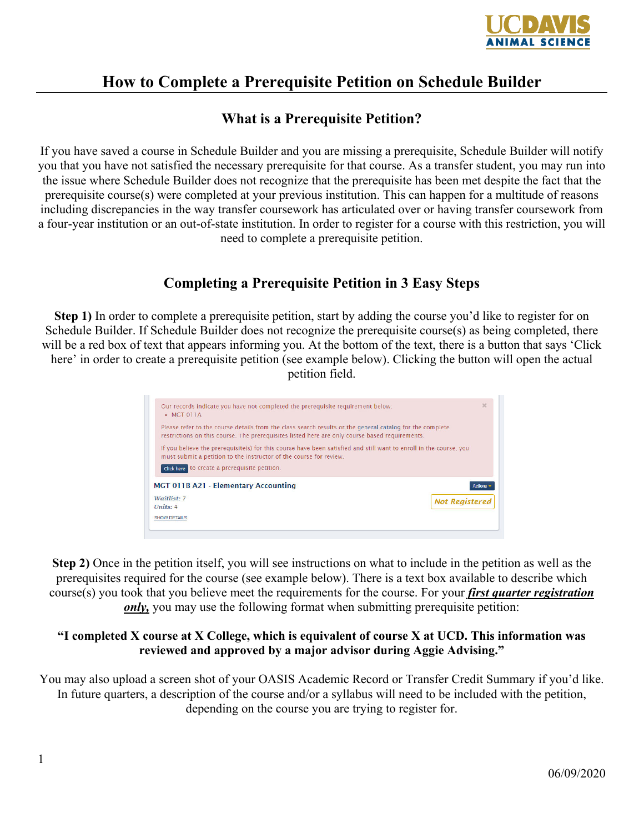

## **How to Complete a Prerequisite Petition on Schedule Builder**

## **What is a Prerequisite Petition?**

If you have saved a course in Schedule Builder and you are missing a prerequisite, Schedule Builder will notify you that you have not satisfied the necessary prerequisite for that course. As a transfer student, you may run into the issue where Schedule Builder does not recognize that the prerequisite has been met despite the fact that the prerequisite course(s) were completed at your previous institution. This can happen for a multitude of reasons including discrepancies in the way transfer coursework has articulated over or having transfer coursework from a four-year institution or an out-of-state institution. In order to register for a course with this restriction, you will need to complete a prerequisite petition.

## **Completing a Prerequisite Petition in 3 Easy Steps**

**Step 1)** In order to complete a prerequisite petition, start by adding the course you'd like to register for on Schedule Builder. If Schedule Builder does not recognize the prerequisite course(s) as being completed, there will be a red box of text that appears informing you. At the bottom of the text, there is a button that says 'Click here' in order to create a prerequisite petition (see example below). Clicking the button will open the actual petition field.

| Our records indicate you have not completed the prerequisite requirement below:<br>$-MGT$ $011A$                                                                                                           | $\mathbf{x}$   |
|------------------------------------------------------------------------------------------------------------------------------------------------------------------------------------------------------------|----------------|
| Please refer to the course details from the class search results or the general catalog for the complete<br>restrictions on this course. The prerequisites listed here are only course based requirements. |                |
| If you believe the prerequisite(s) for this course have been satisfied and still want to enroll in the course, you<br>must submit a petition to the instructor of the course for review.                   |                |
| click here to create a prerequisite petition.                                                                                                                                                              |                |
| <b>MGT 011B A21 - Elementary Accounting</b>                                                                                                                                                                | <b>Actions</b> |
| Waitlist: 7<br><b>Not Registered</b>                                                                                                                                                                       |                |
| <b>SHOW DETAILS</b>                                                                                                                                                                                        |                |

**Step 2)** Once in the petition itself, you will see instructions on what to include in the petition as well as the prerequisites required for the course (see example below). There is a text box available to describe which course(s) you took that you believe meet the requirements for the course. For your *first quarter registration only,* you may use the following format when submitting prerequisite petition:

## **"I completed X course at X College, which is equivalent of course X at UCD. This information was reviewed and approved by a major advisor during Aggie Advising."**

You may also upload a screen shot of your OASIS Academic Record or Transfer Credit Summary if you'd like. In future quarters, a description of the course and/or a syllabus will need to be included with the petition, depending on the course you are trying to register for.